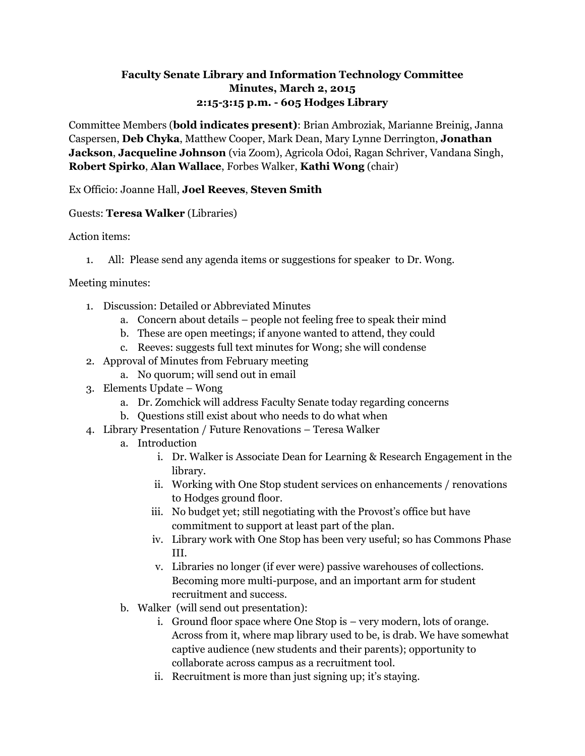# **Faculty Senate Library and Information Technology Committee Minutes, March 2, 2015 2:15-3:15 p.m. - 605 Hodges Library**

Committee Members (**bold indicates present)**: Brian Ambroziak, Marianne Breinig, Janna Caspersen, **Deb Chyka**, Matthew Cooper, Mark Dean, Mary Lynne Derrington, **Jonathan Jackson**, **Jacqueline Johnson** (via Zoom), Agricola Odoi, Ragan Schriver, Vandana Singh, **Robert Spirko**, **Alan Wallace**, Forbes Walker, **Kathi Wong** (chair)

## Ex Officio: Joanne Hall, **Joel Reeves**, **Steven Smith**

### Guests: **Teresa Walker** (Libraries)

### Action items:

1. All: Please send any agenda items or suggestions for speaker to Dr. Wong.

#### Meeting minutes:

- 1. Discussion: Detailed or Abbreviated Minutes
	- a. Concern about details people not feeling free to speak their mind
	- b. These are open meetings; if anyone wanted to attend, they could
	- c. Reeves: suggests full text minutes for Wong; she will condense
- 2. Approval of Minutes from February meeting
	- a. No quorum; will send out in email
- 3. Elements Update Wong
	- a. Dr. Zomchick will address Faculty Senate today regarding concerns
	- b. Questions still exist about who needs to do what when
- 4. Library Presentation / Future Renovations Teresa Walker
	- a. Introduction
		- i. Dr. Walker is Associate Dean for Learning & Research Engagement in the library.
		- ii. Working with One Stop student services on enhancements / renovations to Hodges ground floor.
		- iii. No budget yet; still negotiating with the Provost's office but have commitment to support at least part of the plan.
		- iv. Library work with One Stop has been very useful; so has Commons Phase III.
		- v. Libraries no longer (if ever were) passive warehouses of collections. Becoming more multi-purpose, and an important arm for student recruitment and success.
	- b. Walker (will send out presentation):
		- i. Ground floor space where One Stop is very modern, lots of orange. Across from it, where map library used to be, is drab. We have somewhat captive audience (new students and their parents); opportunity to collaborate across campus as a recruitment tool.
		- ii. Recruitment is more than just signing up; it's staying.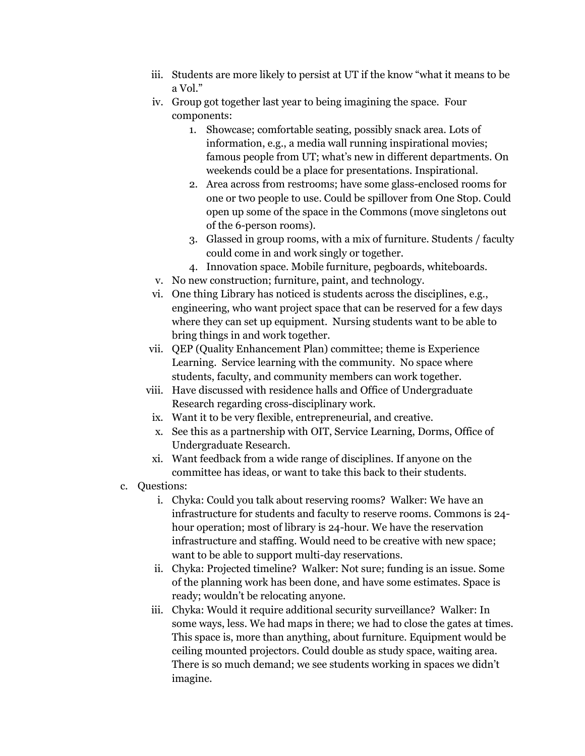- iii. Students are more likely to persist at UT if the know "what it means to be a Vol."
- iv. Group got together last year to being imagining the space. Four components:
	- 1. Showcase; comfortable seating, possibly snack area. Lots of information, e.g., a media wall running inspirational movies; famous people from UT; what's new in different departments. On weekends could be a place for presentations. Inspirational.
	- 2. Area across from restrooms; have some glass-enclosed rooms for one or two people to use. Could be spillover from One Stop. Could open up some of the space in the Commons (move singletons out of the 6-person rooms).
	- 3. Glassed in group rooms, with a mix of furniture. Students / faculty could come in and work singly or together.
	- 4. Innovation space. Mobile furniture, pegboards, whiteboards.
- v. No new construction; furniture, paint, and technology.
- vi. One thing Library has noticed is students across the disciplines, e.g., engineering, who want project space that can be reserved for a few days where they can set up equipment. Nursing students want to be able to bring things in and work together.
- vii. QEP (Quality Enhancement Plan) committee; theme is Experience Learning. Service learning with the community. No space where students, faculty, and community members can work together.
- viii. Have discussed with residence halls and Office of Undergraduate Research regarding cross-disciplinary work.
	- ix. Want it to be very flexible, entrepreneurial, and creative.
	- x. See this as a partnership with OIT, Service Learning, Dorms, Office of Undergraduate Research.
	- xi. Want feedback from a wide range of disciplines. If anyone on the committee has ideas, or want to take this back to their students.
- c. Questions:
	- i. Chyka: Could you talk about reserving rooms? Walker: We have an infrastructure for students and faculty to reserve rooms. Commons is 24 hour operation; most of library is 24-hour. We have the reservation infrastructure and staffing. Would need to be creative with new space; want to be able to support multi-day reservations.
	- ii. Chyka: Projected timeline? Walker: Not sure; funding is an issue. Some of the planning work has been done, and have some estimates. Space is ready; wouldn't be relocating anyone.
	- iii. Chyka: Would it require additional security surveillance? Walker: In some ways, less. We had maps in there; we had to close the gates at times. This space is, more than anything, about furniture. Equipment would be ceiling mounted projectors. Could double as study space, waiting area. There is so much demand; we see students working in spaces we didn't imagine.